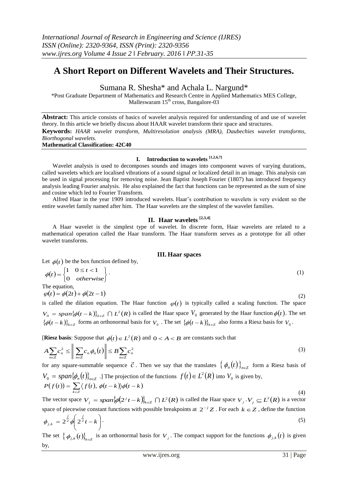# **A Short Report on Different Wavelets and Their Structures.**

Sumana R. Shesha\* and Achala L. Nargund\*

\*Post Graduate Department of Mathematics and Research Centre in Applied Mathematics MES College, Malleswaram  $15<sup>th</sup>$  cross, Bangalore-03

**Abstract:** This article consists of basics of wavelet analysis required for understanding of and use of wavelet theory. In this article we briefly discuss about HAAR wavelet transform their space and structures.

**Keywords:** *HAAR wavelet transform, Multiresolution analysis (MRA), Daubechies wavelet transforms, Biorthogonal wavelets.*

**Mathematical Classification: 42C40**

## **I. Introduction to wavelets [1,2,6,7]**

Wavelet analysis is used to decomposes sounds and images into component waves of varying durations, called wavelets which are localised vibrations of a sound signal or localized detail in an image. This analysis can be used in signal processing for removing noise. Jean Baptist Joseph Fourier (1807) has introduced frequency analysis leading Fourier analysis. He also explained the fact that functions can be represented as the sum of sine and cosine which led to Fourier Transform.

Alfred Haar in the year 1909 introduced wavelets. Haar's contribution to wavelets is very evident so the entire wavelet family named after him. The Haar wavelets are the simplest of the wavelet families.

## **II. Haar wavelets [2,3,4]**

A Haar wavelet is the simplest type of wavelet. In discrete form, Haar wavelets are related to a mathematical operation called the Haar transform. The Haar transform serves as a prototype for all other wavelet transforms.

### **III. Haar spaces**

Let  $\phi(t)$  be the box function defined by,

$$
\phi(t) = \begin{cases} 1 & 0 \le t < 1 \\ 0 & otherwise \end{cases} . \tag{1}
$$
  
The equation,

 $\varphi(t) = \phi(2t) + \phi(2t - 1)$ 

is called the dilation equation. The Haar function  $\varphi(t)$  is typically called a scaling function. The space  $V_0 = span{\phi(t-k)}_{k \in \mathbb{Z}} \cap L^2(R)$  is called the Haar space  $V_0$  generated by the Haar function  $\phi(t)$ . The set  $\{\phi(t-k)\}_{k\in\mathbb{Z}}$  forms an orthonormal basis for  $V_0$ . The set  $\{\phi(t-k)\}_{k\in\mathbb{Z}}$  also forms a Riesz basis for  $V_0$ .

[**Riesz basis**: Suppose that  $\phi(t) \in L^2(R)$  and  $0 < A < B$  are constants such that

$$
A\sum_{n\in\mathbb{Z}}c_n^2 \le \left\|\sum_{n\in\mathbb{Z}}c_n\phi_n(t)\right\| \le B\sum_{n\in\mathbb{Z}}c_n^2\tag{3}
$$

for any square-summable sequence  $\vec{c}$ . Then we say that the translates  $\{\phi_n(t)\}_{n\in\mathbb{Z}}$  form a Riesz basis of  $V_0 = span\{\phi_n(t)\}_{n \in \mathbb{Z}}$  .] The projection of the functions  $f(t) \in L^2(R)$  into  $V_0$  is given by,  $P(f(t)) = \sum \langle f(t), \phi(t-k) \rangle \phi(t-k)$ 

$$
P(f(t)) = \sum_{k \in \mathbb{Z}} \langle f(t), \varphi(t - k) \rangle \varphi(t - k)
$$
\n
$$
(4)
$$

The vector space  $V_j = span \{ \phi(2^j t - k) \}_{k \in \mathbb{Z}} \cap L^2(R)$  is called the Haar space  $V_j \cdot V_j \subseteq L^2(R)$  is a vector space of piecewise constant functions with possible breakpoints at  $2^{-j}Z$ . For each  $k \in Z$ , define the function  $\Bigg\}$ J  $\lambda$  $\left\vert \right\vert$  $\setminus$  $= 2^{\frac{j}{2}} \phi \left( 2^{\frac{j}{2}} t - k \right)$  $\phi_{j,k} = 2^{\overline{2}} \phi \sqrt{2^{\overline{2}}}$ .  $(5)$ 

The set  $\{\phi_{j,k}(t)\}_{k\in\mathbb{Z}}$  is an orthonormal basis for  $V_j$ . The compact support for the functions  $\phi_{j,k}(t)$  is given by,

(2)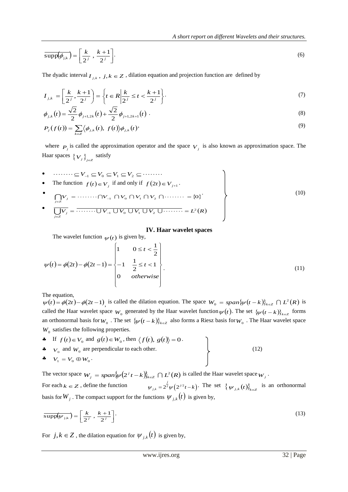$$
\overline{\text{supp}(\phi_{j,k})} = \left[\frac{k}{2^j}, \frac{k+1}{2^j}\right].
$$
 (6)

The dyadic interval  $I_{j,k}$ ,  $j, k \in \mathbb{Z}$ , dilation equation and projection function are defined by

$$
I_{j,k} = \left[\frac{k}{2^j}, \frac{k+1}{2^j}\right] = \left\{t \in R \, \middle| \, \frac{k}{2^j} \le t < \frac{k+1}{2^j}\right\}.\tag{7}
$$

$$
\phi_{j,k}(t) = \frac{\sqrt{2}}{2} \phi_{j+1,2k}(t) + \frac{\sqrt{2}}{2} \phi_{j+1,2k+1}(t) \tag{8}
$$

$$
P_j(f(t)) = \sum_{k \in \mathbb{Z}} \langle \phi_{j,k}(t), f(t) \rangle \phi_{j,k}(t) \qquad (9)
$$

where  $P_j$  is called the approximation operator and the space  $V_j$  is also known as approximation space. The Haar spaces  $\{V_j\}_{j\in\mathbb{Z}}$  satisfy

\n- \n
$$
\begin{aligned}\n &\text{...} &\text{...} &\text{...} &\text{...} &\text{...} &\text{...} &\text{...} \\
&\text{...} &\text{...} &\text{...} &\text{...} &\text{...} \\
&\text{...} &\text{...} &\text{...} &\text{...} &\text{...} \\
&\text{...} &\text{...} &\text{...} &\text{...} &\text{...} &\text{...} \\
&\text{...} &\text{...} &\text{...} &\text{...} &\text{...} &\text{...} \\
&\text{...} &\text{...} &\text{...} &\text{...} &\text{...} &\text{...} \\
&\text{...} &\text{...} &\text{...} &\text{...} &\text{...} &\text{...} \\
&\text{...} &\text{...} &\text{...} &\text{...} &\text{...} &\text{...} \\
&\text{...} &\text{...} &\text{...} &\text{...} &\text{...} &\text{...} \\
&\text{...} &\text{...} &\text{...} &\text{...} &\text{...} &\text{...} \\
&\text{...} &\text{...} &\text{...} &\text{...} &\text{...} &\text{...} \\
&\text{...} &\text{...} &\text{...} &\text{...} &\text{...} &\text{...} \\
&\text{...} &\text{...} &\text{...} &\text{...} &\text{...} &\text{...} \\
&\text{...} &\text{...} &\text{...} &\text{...} &\text{...} &\text{...} \\
&\text{...} &\text{...} &\text{...} &\text{...} &\text{...} &\text{...} \\
&\text{...} &\text{...} &\text{...} &\text{...} &\text{...} &\text{...} \\
&\text{...} &\text{...} &\text{...} &\text{...} &\text{...} &\text{...} \\
&\text{...} &\text{...} &\text{...} &\
$$

## **IV. Haar wavelet spaces**

The wavelet function  $\psi(t)$  is given by,

$$
\psi(t) = \phi(2t) - \phi(2t - 1) = \begin{cases} 1 & 0 \le t < \frac{1}{2} \\ -1 & \frac{1}{2} \le t < 1 \\ 0 & otherwise \end{cases}
$$
(11)

The equation,

 $\psi(t) = \phi(2t) - \phi(2t-1)$ , is called the dilation equation. The space  $W_0 = span{\psi(t-k)}_{k \in \mathbb{Z}} \cap L^2(R)$  is called the Haar wavelet space  $W_0$  generated by the Haar wavelet function  $\psi(t)$ . The set  $\{\psi(t-k)\}_{k\in\mathbb{Z}}$  forms an orthonormal basis for  $W_0$ . The set  $\{\psi(t-k)\}_{k\in\mathbb{Z}}$  also forms a Riesz basis for  $W_0$ . The Haar wavelet space  $W_0$  satisfies the following properties.

 $\bullet$  If  $f(t) \in V_0$  and  $g(t) \in W_0$ , then  $\langle f(t), g(t) \rangle = 0$ . •  $V_0$  and  $W_0$  are perpendicular to each other. (12)  $V_1 = V_0 \oplus W_0$ .

The vector space  $W_j = span \{ \psi(2^j t - k) \}_{k \in \mathbb{Z}} \cap L^2(R)$  is called the Haar wavelet space  $W_j$ . For each  $k \in \mathbb{Z}$ , define the function  $\psi_{j,k} = 2^{\frac{j}{2}} \psi\left(2^{j/2}t - k\right)$ . The set  $\{\psi_{j,k}(t)\}_{k \in \mathbb{Z}}$  is an orthonormal basis for  $W_j$ . The compact support for the functions  $\psi_{j,k}(t)$  is given by,

$$
\overline{\text{supp}(\psi_{j,k})} = \left[\frac{k}{2^j}, \frac{k+1}{2^j}\right].
$$
\n(13)

For  $j, k \in \mathbb{Z}$ , the dilation equation for  $\psi_{j,k}(t)$  is given by,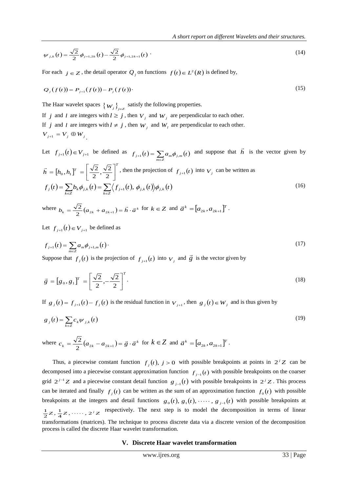$$
\psi_{j,k}(t) = \frac{\sqrt{2}}{2} \phi_{j+1,2k}(t) - \frac{\sqrt{2}}{2} \phi_{j+1,2k+1}(t)
$$
 (14)

For each  $j \in Z$ , the detail operator  $Q_j$  on functions  $f(t) \in L^2(R)$  is defined by,

$$
Q_j(f(t)) = P_{j+1}(f(t)) - P_j(f(t))
$$
\n(15)

The Haar wavelet spaces  $\{W_j\}_{j\in\mathbb{Z}}$  satisfy the following properties.

If *j* and *l* are integers with  $l \ge j$ , then  $V_j$  and  $W_j$  are perpendicular to each other. If *j* and *l* are integers with  $l \neq j$ , then  $W_j$  and  $W_l$  are perpendicular to each other.  $V_{j+1} = V_j \oplus W_j$ .

Let  $f_{j+1}(t) \in V_{j+1}$  be defined as  $f_{j+1}(t) = \sum_{m \in \mathbb{Z}} a_m \phi_{j,m}(t)$  and suppose that  $\vec{h}$  $\vec{h}$  is the vector given by  $[h_0, h_1]$ <sup>1</sup> *T*  $\vec{h} = [h_0, h_1]^T = \left| \frac{\sqrt{2}}{2}, \frac{\sqrt{2}}{2} \right|$ J ן  $\mathsf{I}$ L  $=[h_{0}, h_{1}]^{T}=\Biggl[\frac{\sqrt{2}}{2}, \frac{\sqrt{2}}{2}\Biggr]$  $\frac{\sqrt{2}}{2}, \frac{\sqrt{2}}{2}$  $[0, h_1]^T = \frac{\sqrt{2}}{2}$  $\vec{h} = [h_0, h_1]^T = \left[\frac{\sqrt{2}}{2}, \frac{\sqrt{2}}{2}\right]^T$ , then the projection of  $f_{j+1}(t)$  into  $V_j$  can be written as  $f(t) = \sum_{k \in \mathbb{Z}} b_k \phi_{j,k}(t) = \sum_{k \in \mathbb{Z}} \langle f_{j+1}(t), \phi_{j,k}(t) \rangle \phi_{j,k}(t)$  $f_j(t) = \sum_{k \in \mathbb{Z}} b_k \phi_{j,k}(t) = \sum_{k \in \mathbb{Z}} \langle f_{j+1}(t), \phi_{j,k}(t) \rangle \phi_{j,k}(t)$  (16)

where  $b_k = \frac{\sqrt{2}}{2} (a_{2k} + a_{2k+1}) = \vec{h} \cdot \vec{a}^k$  $\vec{A}$   $\vec{A}$   $(a_{2k} + a_{2k+1}) = \vec{h} \cdot \vec{a}^k$  for  $k \in \mathbb{Z}$  and  $\vec{a}^k = [a_{2k}, a_{2k+1}]^T$  $\vec{a}^k = [a_{2k}, a_{2k+1}]^T$ .

Let  $f_{j+1}(t) \in V_{j+1}$  be defined as

$$
f_{j+1}(t) = \sum_{m \in \mathbb{Z}} a_m \phi_{j+1,m}(t) \tag{17}
$$

Suppose that  $f_j(t)$  is the projection of  $f_{j+1}(t)$  into  $V_j$  and  $\vec{g}$  is the vector given by

$$
\vec{g} = [g_0, g_1]^T = \left[\frac{\sqrt{2}}{2}, -\frac{\sqrt{2}}{2}\right]^T.
$$
\n(18)

If  $g_j(t) = f_{j+1}(t) - f_j(t)$  is the residual function in  $V_{j+1}$ , then  $g_j(t) \in W_j$  and is thus given by

$$
g_j(t) = \sum_{k \in \mathbb{Z}} c_k \psi_{j,k}(t) \tag{19}
$$

where  $c_k = \frac{\sqrt{2}}{2} (a_{2k} - a_{2k+1}) = \vec{g} \cdot \vec{a}^k$  $\frac{2}{\sqrt{2}}(a_{2k} - a_{2k+1}) = \vec{g} \cdot \vec{a}^k$  for  $k \in \mathbb{Z}$  and  $\vec{a}^k = [a_{2k}, a_{2k+1}]^T$ .

Thus, a piecewise constant function  $f_j(t)$ ,  $j > 0$  with possible breakpoints at points in  $2^j Z$  can be decomposed into a piecewise constant approximation function  $f_{j-1}(t)$  with possible breakpoints on the coarser grid  $2^{j-1}Z$  and a piecewise constant detail function  $g_{j-1}(t)$  with possible breakpoints in  $2^{j}Z$ . This process can be iterated and finally  $f_j(t)$  can be written as the sum of an approximation function  $f_0(t)$  with possible breakpoints at the integers and detail functions  $g_0(t)$ ,  $g_1(t)$ , ...,  $g_{j-1}(t)$  with possible breakpoints at  $Z, \frac{1}{4}Z, \cdots, 2^{j}Z$  $\frac{1}{2}Z, \frac{1}{4}$  $\frac{1}{2}Z, \frac{1}{4}Z, \dots, 2^{j}Z$  respectively. The next step is to model the decomposition in terms of linear transformations (matrices). The technique to process discrete data via a discrete version of the decomposition process is called the discrete Haar wavelet transformation.

#### **V. Discrete Haar wavelet transformation**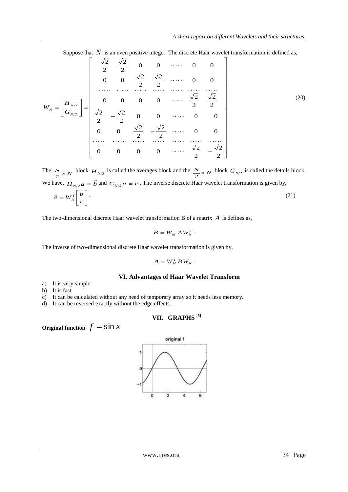Suppose that  $N$  is an even positive integer. The discrete Haar wavelet transformation is defined as,

$$
W_{N} = \left[\frac{H_{N/2}}{G_{N/2}}\right] = \begin{bmatrix} \frac{\sqrt{2}}{2} & \frac{\sqrt{2}}{2} & 0 & 0 & \cdots & 0 & 0\\ 0 & 0 & \frac{\sqrt{2}}{2} & \frac{\sqrt{2}}{2} & \cdots & 0 & 0\\ \cdots & \cdots & \cdots & \cdots & \cdots & \cdots & \cdots\\ \cdots & \cdots & \cdots & \cdots & \cdots & \cdots & \cdots\\ 0 & 0 & 0 & 0 & \cdots & \frac{\sqrt{2}}{2} & \frac{\sqrt{2}}{2}\\ 0 & 0 & \frac{\sqrt{2}}{2} & -\frac{\sqrt{2}}{2} & \cdots & 0 & 0\\ \cdots & \cdots & \cdots & \cdots & \cdots & \cdots & \cdots\\ 0 & 0 & 0 & 0 & \cdots & \frac{\sqrt{2}}{2} & -\frac{\sqrt{2}}{2}\end{bmatrix}
$$
(20)

The  $\frac{N}{2} \times N$ block  $H_{N/2}$  is called the averages block and the  $\frac{N}{2} \times N$ block  $G_{N/2}$  is called the details block. We have,  $H_{N/2} \vec{a} = \vec{b}$  $\frac{2}{2}\vec{a} = \vec{b}$  and  $G_{N/2}\vec{a} = \vec{c}$ . The inverse discrete Haar wavelet transformation is given by,  $\lceil \vec{b} \rceil$  $\frac{1}{2}$  $\vec{a} = W^T \left[ \vec{b} \right].$  (21)

$$
\vec{a} = W_N^T \left[ \frac{b}{\vec{c}} \right] \tag{21}
$$

The two-dimensional discrete Haar wavelet transformation B of a matrix *A* is defines as,

$$
B=W_M A W_N^T.
$$

The inverse of two-dimensional discrete Haar wavelet transformation is given by,

$$
A = W_M^T B W_N \, \cdot
$$

## **VI. Advantages of Haar Wavelet Transform**

- a) It is very simple.
- b) It is fast.

c) It can be calculated without any need of temporary array so it needs less memory.

d) It can be reversed exactly without the edge effects.

## **VII. GRAPHS [5]**

**Original function**  $f = \sin x$